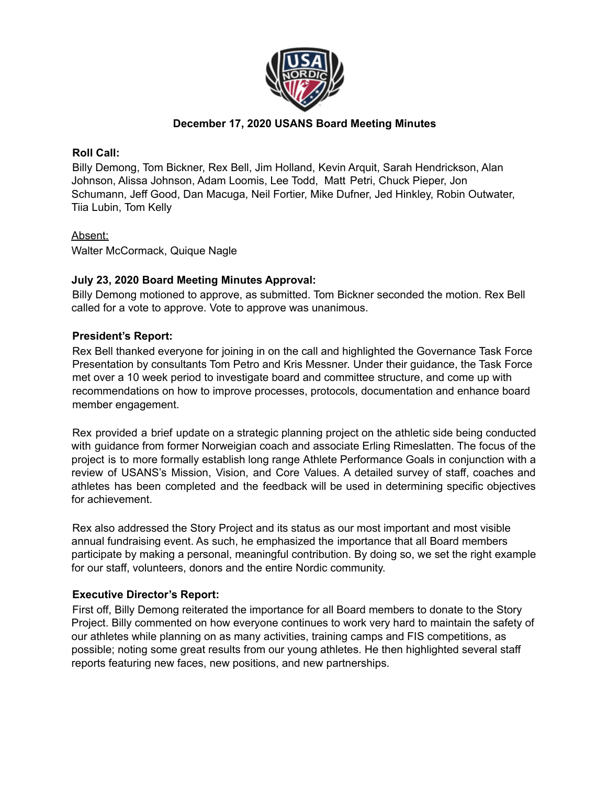

# **December 17, 2020 USANS Board Meeting Minutes**

### **Roll Call:**

Billy Demong, Tom Bickner, Rex Bell, Jim Holland, Kevin Arquit, Sarah Hendrickson, Alan Johnson, Alissa Johnson, Adam Loomis, Lee Todd, Matt Petri, Chuck Pieper, Jon Schumann, Jeff Good, Dan Macuga, Neil Fortier, Mike Dufner, Jed Hinkley, Robin Outwater, Tiia Lubin, Tom Kelly

## Absent:

Walter McCormack, Quique Nagle

## **July 23, 2020 Board Meeting Minutes Approval:**

Billy Demong motioned to approve, as submitted. Tom Bickner seconded the motion. Rex Bell called for a vote to approve. Vote to approve was unanimous.

## **President's Report:**

Rex Bell thanked everyone for joining in on the call and highlighted the Governance Task Force Presentation by consultants Tom Petro and Kris Messner. Under their guidance, the Task Force met over a 10 week period to investigate board and committee structure, and come up with recommendations on how to improve processes, protocols, documentation and enhance board member engagement.

Rex provided a brief update on a strategic planning project on the athletic side being conducted with guidance from former Norweigian coach and associate Erling Rimeslatten. The focus of the project is to more formally establish long range Athlete Performance Goals in conjunction with a review of USANS's Mission, Vision, and Core Values. A detailed survey of staff, coaches and athletes has been completed and the feedback will be used in determining specific objectives for achievement.

Rex also addressed the Story Project and its status as our most important and most visible annual fundraising event. As such, he emphasized the importance that all Board members participate by making a personal, meaningful contribution. By doing so, we set the right example for our staff, volunteers, donors and the entire Nordic community.

## **Executive Director's Report:**

First off, Billy Demong reiterated the importance for all Board members to donate to the Story Project. Billy commented on how everyone continues to work very hard to maintain the safety of our athletes while planning on as many activities, training camps and FIS competitions, as possible; noting some great results from our young athletes. He then highlighted several staff reports featuring new faces, new positions, and new partnerships.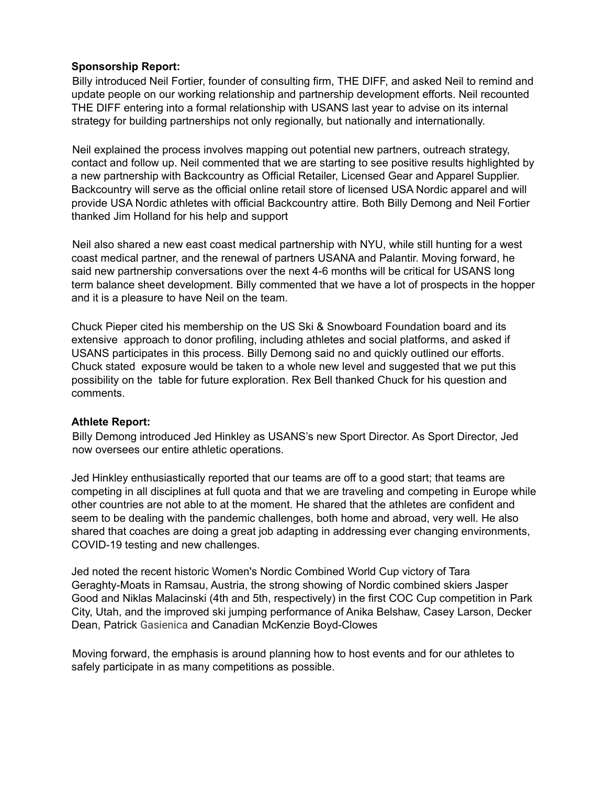## **Sponsorship Report:**

Billy introduced Neil Fortier, founder of consulting firm, THE DIFF, and asked Neil to remind and update people on our working relationship and partnership development efforts. Neil recounted THE DIFF entering into a formal relationship with USANS last year to advise on its internal strategy for building partnerships not only regionally, but nationally and internationally.

Neil explained the process involves mapping out potential new partners, outreach strategy, contact and follow up. Neil commented that we are starting to see positive results highlighted by a new partnership with Backcountry as Official Retailer, Licensed Gear and Apparel Supplier. Backcountry will serve as the official online retail store of licensed USA Nordic apparel and will provide USA Nordic athletes with official Backcountry attire. Both Billy Demong and Neil Fortier thanked Jim Holland for his help and support

Neil also shared a new east coast medical partnership with NYU, while still hunting for a west coast medical partner, and the renewal of partners USANA and Palantir. Moving forward, he said new partnership conversations over the next 4-6 months will be critical for USANS long term balance sheet development. Billy commented that we have a lot of prospects in the hopper and it is a pleasure to have Neil on the team.

Chuck Pieper cited his membership on the US Ski & Snowboard Foundation board and its extensive approach to donor profiling, including athletes and social platforms, and asked if USANS participates in this process. Billy Demong said no and quickly outlined our efforts. Chuck stated exposure would be taken to a whole new level and suggested that we put this possibility on the table for future exploration. Rex Bell thanked Chuck for his question and comments.

## **Athlete Report:**

Billy Demong introduced Jed Hinkley as USANS's new Sport Director. As Sport Director, Jed now oversees our entire athletic operations.

Jed Hinkley enthusiastically reported that our teams are off to a good start; that teams are competing in all disciplines at full quota and that we are traveling and competing in Europe while other countries are not able to at the moment. He shared that the athletes are confident and seem to be dealing with the pandemic challenges, both home and abroad, very well. He also shared that coaches are doing a great job adapting in addressing ever changing environments, COVID-19 testing and new challenges.

Jed noted the recent historic Women's Nordic Combined World Cup victory of Tara Geraghty-Moats in Ramsau, Austria, the strong showing of Nordic combined skiers Jasper Good and Niklas Malacinski (4th and 5th, respectively) in the first COC Cup competition in Park City, Utah, and the improved ski jumping performance of Anika Belshaw, Casey Larson, Decker Dean, Patrick Gasienica and Canadian McKenzie Boyd-Clowes

Moving forward, the emphasis is around planning how to host events and for our athletes to safely participate in as many competitions as possible.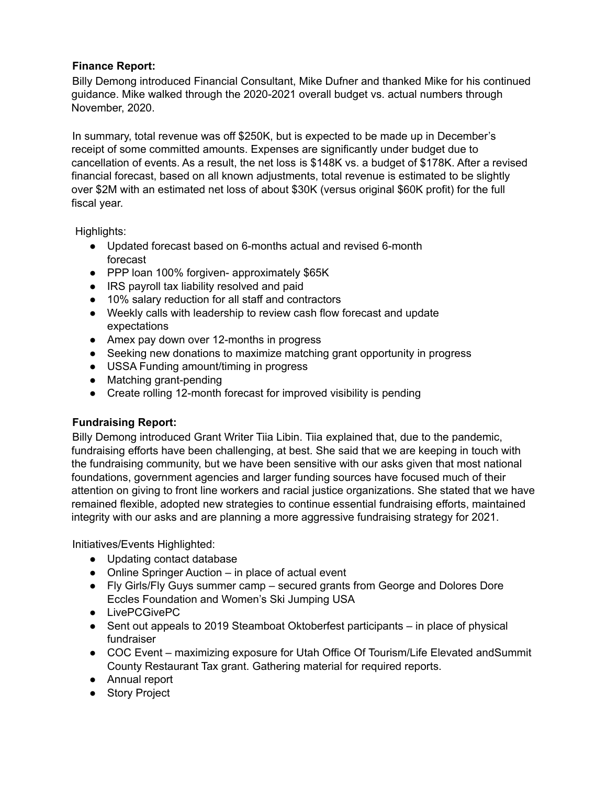# **Finance Report:**

Billy Demong introduced Financial Consultant, Mike Dufner and thanked Mike for his continued guidance. Mike walked through the 2020-2021 overall budget vs. actual numbers through November, 2020.

In summary, total revenue was off \$250K, but is expected to be made up in December's receipt of some committed amounts. Expenses are significantly under budget due to cancellation of events. As a result, the net loss is \$148K vs. a budget of \$178K. After a revised financial forecast, based on all known adjustments, total revenue is estimated to be slightly over \$2M with an estimated net loss of about \$30K (versus original \$60K profit) for the full fiscal year.

Highlights:

- Updated forecast based on 6-months actual and revised 6-month forecast
- PPP loan 100% forgiven- approximately \$65K
- IRS payroll tax liability resolved and paid
- 10% salary reduction for all staff and contractors
- Weekly calls with leadership to review cash flow forecast and update expectations
- Amex pay down over 12-months in progress
- Seeking new donations to maximize matching grant opportunity in progress
- USSA Funding amount/timing in progress
- Matching grant-pending
- Create rolling 12-month forecast for improved visibility is pending

# **Fundraising Report:**

Billy Demong introduced Grant Writer Tiia Libin. Tiia explained that, due to the pandemic, fundraising efforts have been challenging, at best. She said that we are keeping in touch with the fundraising community, but we have been sensitive with our asks given that most national foundations, government agencies and larger funding sources have focused much of their attention on giving to front line workers and racial justice organizations. She stated that we have remained flexible, adopted new strategies to continue essential fundraising efforts, maintained integrity with our asks and are planning a more aggressive fundraising strategy for 2021.

Initiatives/Events Highlighted:

- Updating contact database
- Online Springer Auction in place of actual event
- Fly Girls/Fly Guys summer camp secured grants from George and Dolores Dore Eccles Foundation and Women's Ski Jumping USA
- LivePCGivePC
- Sent out appeals to 2019 Steamboat Oktoberfest participants in place of physical fundraiser
- COC Event maximizing exposure for Utah Office Of Tourism/Life Elevated andSummit County Restaurant Tax grant. Gathering material for required reports.
- Annual report
- Story Project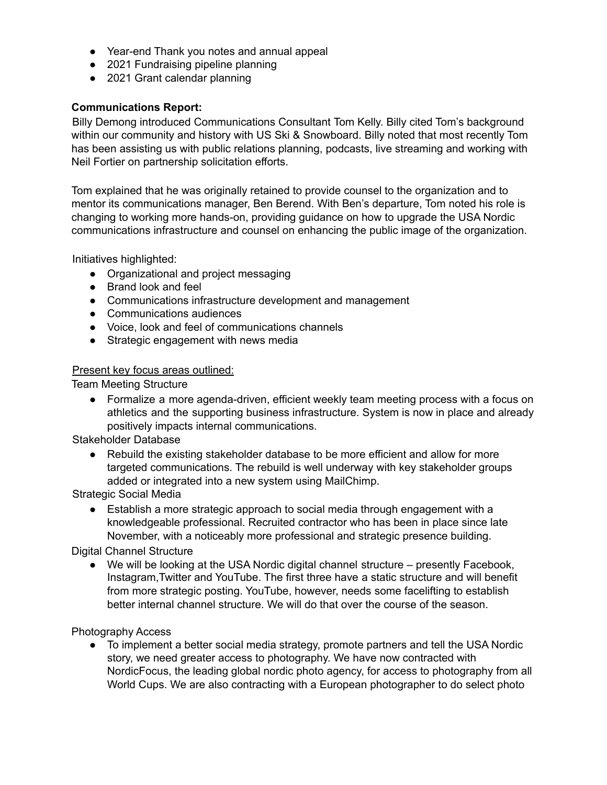- Year-end Thank you notes and annual appeal
- 2021 Fundraising pipeline planning
- 2021 Grant calendar planning

## **Communications Report:**

Billy Demong introduced Communications Consultant Tom Kelly. Billy cited Tom's background within our community and history with US Ski & Snowboard. Billy noted that most recently Tom has been assisting us with public relations planning, podcasts, live streaming and working with Neil Fortier on partnership solicitation efforts.

Tom explained that he was originally retained to provide counsel to the organization and to mentor its communications manager, Ben Berend. With Ben's departure, Tom noted his role is changing to working more hands-on, providing guidance on how to upgrade the USA Nordic communications infrastructure and counsel on enhancing the public image of the organization.

Initiatives highlighted:

- Organizational and project messaging
- Brand look and feel
- Communications infrastructure development and management
- Communications audiences
- Voice, look and feel of communications channels
- Strategic engagement with news media

## Present key focus areas outlined:

Team Meeting Structure

● Formalize a more agenda-driven, efficient weekly team meeting process with a focus on athletics and the supporting business infrastructure. System is now in place and already positively impacts internal communications.

Stakeholder Database

● Rebuild the existing stakeholder database to be more efficient and allow for more targeted communications. The rebuild is well underway with key stakeholder groups added or integrated into a new system using MailChimp.

Strategic Social Media

● Establish a more strategic approach to social media through engagement with a knowledgeable professional. Recruited contractor who has been in place since late November, with a noticeably more professional and strategic presence building.

Digital Channel Structure

● We will be looking at the USA Nordic digital channel structure – presently Facebook, Instagram,Twitter and YouTube. The first three have a static structure and will benefit from more strategic posting. YouTube, however, needs some facelifting to establish better internal channel structure. We will do that over the course of the season.

Photography Access

● To implement a better social media strategy, promote partners and tell the USA Nordic story, we need greater access to photography. We have now contracted with NordicFocus, the leading global nordic photo agency, for access to photography from all World Cups. We are also contracting with a European photographer to do select photo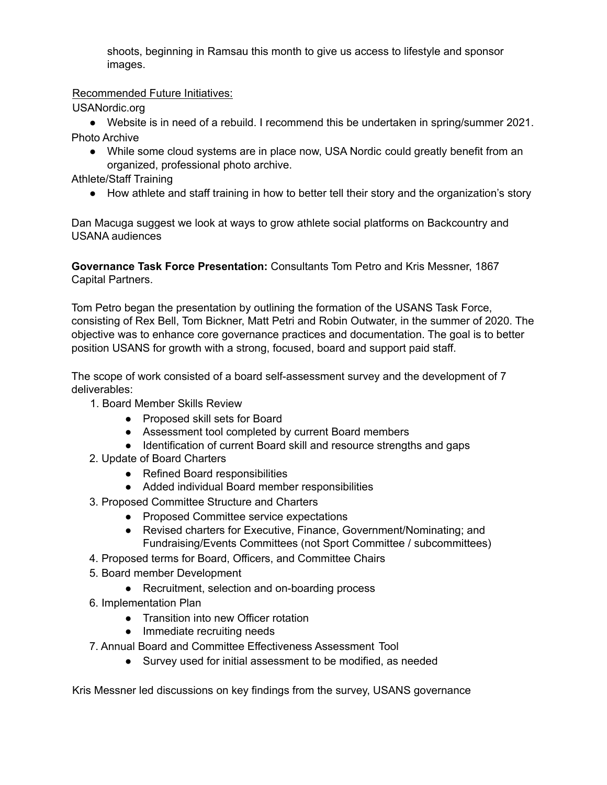shoots, beginning in Ramsau this month to give us access to lifestyle and sponsor images.

Recommended Future Initiatives:

USANordic.org

● Website is in need of a rebuild. I recommend this be undertaken in spring/summer 2021. Photo Archive

• While some cloud systems are in place now, USA Nordic could greatly benefit from an organized, professional photo archive.

Athlete/Staff Training

● How athlete and staff training in how to better tell their story and the organization's story

Dan Macuga suggest we look at ways to grow athlete social platforms on Backcountry and USANA audiences

**Governance Task Force Presentation:** Consultants Tom Petro and Kris Messner, 1867 Capital Partners.

Tom Petro began the presentation by outlining the formation of the USANS Task Force, consisting of Rex Bell, Tom Bickner, Matt Petri and Robin Outwater, in the summer of 2020. The objective was to enhance core governance practices and documentation. The goal is to better position USANS for growth with a strong, focused, board and support paid staff.

The scope of work consisted of a board self-assessment survey and the development of 7 deliverables:

- 1. Board Member Skills Review
	- Proposed skill sets for Board
	- Assessment tool completed by current Board members
	- Identification of current Board skill and resource strengths and gaps
- 2. Update of Board Charters
	- Refined Board responsibilities
	- Added individual Board member responsibilities
- 3. Proposed Committee Structure and Charters
	- Proposed Committee service expectations
	- Revised charters for Executive, Finance, Government/Nominating; and Fundraising/Events Committees (not Sport Committee / subcommittees)
- 4. Proposed terms for Board, Officers, and Committee Chairs
- 5. Board member Development
	- Recruitment, selection and on-boarding process
- 6. Implementation Plan
	- Transition into new Officer rotation
	- Immediate recruiting needs
- 7. Annual Board and Committee Effectiveness Assessment Tool
	- Survey used for initial assessment to be modified, as needed

Kris Messner led discussions on key findings from the survey, USANS governance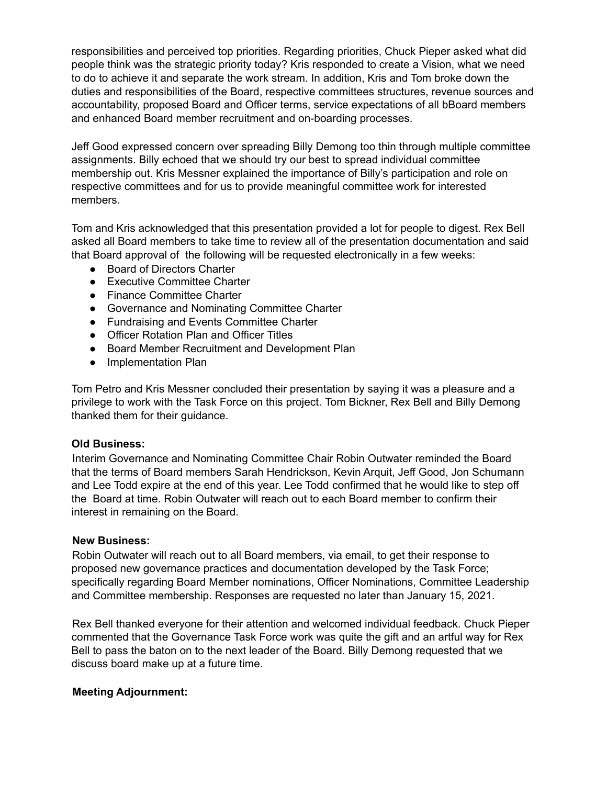responsibilities and perceived top priorities. Regarding priorities, Chuck Pieper asked what did people think was the strategic priority today? Kris responded to create a Vision, what we need to do to achieve it and separate the work stream. In addition, Kris and Tom broke down the duties and responsibilities of the Board, respective committees structures, revenue sources and accountability, proposed Board and Officer terms, service expectations of all bBoard members and enhanced Board member recruitment and on-boarding processes.

Jeff Good expressed concern over spreading Billy Demong too thin through multiple committee assignments. Billy echoed that we should try our best to spread individual committee membership out. Kris Messner explained the importance of Billy's participation and role on respective committees and for us to provide meaningful committee work for interested members.

Tom and Kris acknowledged that this presentation provided a lot for people to digest. Rex Bell asked all Board members to take time to review all of the presentation documentation and said that Board approval of the following will be requested electronically in a few weeks:

- Board of Directors Charter
- Executive Committee Charter
- Finance Committee Charter
- Governance and Nominating Committee Charter
- Fundraising and Events Committee Charter
- Officer Rotation Plan and Officer Titles
- Board Member Recruitment and Development Plan
- Implementation Plan

Tom Petro and Kris Messner concluded their presentation by saying it was a pleasure and a privilege to work with the Task Force on this project. Tom Bickner, Rex Bell and Billy Demong thanked them for their guidance.

#### **Old Business:**

Interim Governance and Nominating Committee Chair Robin Outwater reminded the Board that the terms of Board members Sarah Hendrickson, Kevin Arquit, Jeff Good, Jon Schumann and Lee Todd expire at the end of this year. Lee Todd confirmed that he would like to step off the Board at time. Robin Outwater will reach out to each Board member to confirm their interest in remaining on the Board.

#### **New Business:**

Robin Outwater will reach out to all Board members, via email, to get their response to proposed new governance practices and documentation developed by the Task Force; specifically regarding Board Member nominations, Officer Nominations, Committee Leadership and Committee membership. Responses are requested no later than January 15, 2021.

Rex Bell thanked everyone for their attention and welcomed individual feedback. Chuck Pieper commented that the Governance Task Force work was quite the gift and an artful way for Rex Bell to pass the baton on to the next leader of the Board. Billy Demong requested that we discuss board make up at a future time.

#### **Meeting Adjournment:**